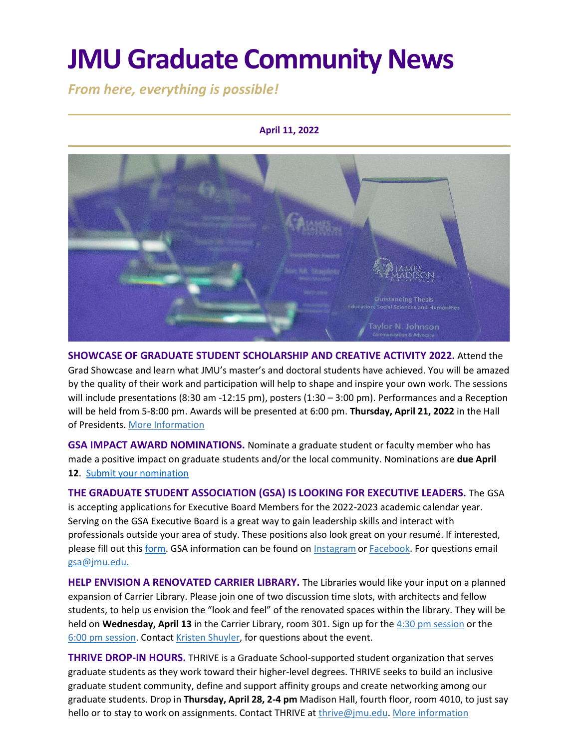# **JMU Graduate Community News**

*From here, everything is possible!*

### **April 11, 2022**



**SHOWCASE OF GRADUATE STUDENT SCHOLARSHIP AND CREATIVE ACTIVITY 2022.** Attend the Grad Showcase and learn what JMU's master's and doctoral students have achieved. You will be amazed by the quality of their work and participation will help to shape and inspire your own work. The sessions will include presentations (8:30 am -12:15 pm), posters (1:30 – 3:00 pm). Performances and a Reception will be held from 5-8:00 pm. Awards will be presented at 6:00 pm. **Thursday, April 21, 2022** in the Hall of Presidents[. More Information](https://www.jmu.edu/grad/GraduateShowcase/index.shtml)

**GSA IMPACT AWARD NOMINATIONS.** Nominate a graduate student or faculty member who has made a positive impact on graduate students and/or the local community. Nominations are **due April 12**. [Submit your nomination](https://docs.google.com/forms/d/1aP7SQw4lo5nBjdo5gsq4pWDuXp4oNeMmaRPZ5wzs1ww/viewform?edit_requested=true)

**THE GRADUATE STUDENT ASSOCIATION (GSA) IS LOOKING FOR EXECUTIVE LEADERS.** The GSA is accepting applications for Executive Board Members for the 2022-2023 academic calendar year. Serving on the GSA Executive Board is a great way to gain leadership skills and interact with professionals outside your area of study. These positions also look great on your resumé. If interested, please fill out this [form.](https://docs.google.com/forms/d/e/1FAIpQLSf43X9_N1kswupeRDbVvtidZH69i8ux2IDYbP5ySRaZyXvMeQ/viewform) GSA information can be found on **[Instagram](https://www.instagram.com/jmu_gsa/)** or **Facebook.** For questions email [gsa@jmu.edu.](mailto:gsa@jmu.edu)

**HELP ENVISION A RENOVATED CARRIER LIBRARY.** The Libraries would like your input on a planned expansion of Carrier Library. Please join one of two discussion time slots, with architects and fellow students, to help us envision the "look and feel" of the renovated spaces within the library. They will be held on **Wednesday, April 13** in the Carrier Library, room 301. Sign up for the [4:30 pm session](https://events.lib.jmu.edu/event/9074862) or the [6:00 pm session.](https://events.lib.jmu.edu/event/9074882) Contact [Kristen Shuyler,](mailto:shuyleks@jmu.edu) for questions about the event.

**THRIVE DROP-IN HOURS.** THRIVE is a Graduate School-supported student organization that serves graduate students as they work toward their higher-level degrees. THRIVE seeks to build an inclusive graduate student community, define and support affinity groups and create networking among our graduate students. Drop in **Thursday, April 28, 2-4 pm** Madison Hall, fourth floor, room 4010, to just say hello or to stay to work on assignments. Contact THRIVE at [thrive@jmu.edu.](mailto:thrive@jmu.edu) [More information](https://www.jmu.edu/grad/THRIVE/index.shtml)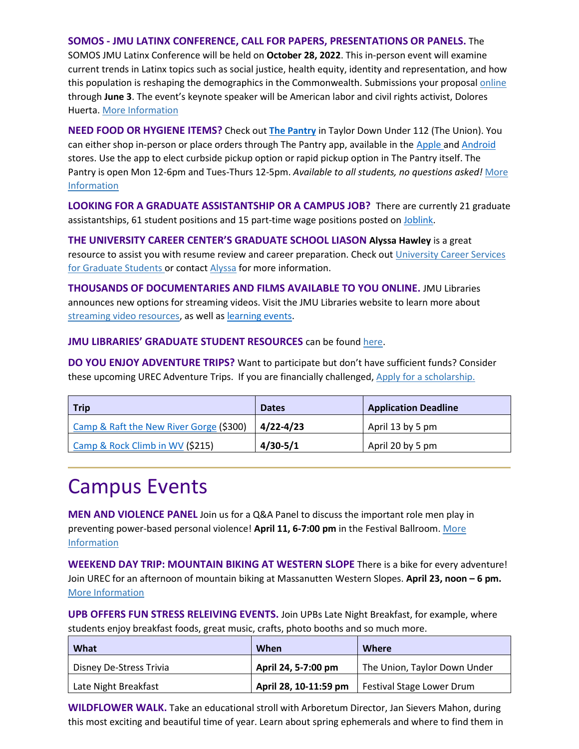### **SOMOS - JMU LATINX CONFERENCE, CALL FOR PAPERS, PRESENTATIONS OR PANELS.** The

SOMOS JMU Latinx Conference will be held on **October 28, 2022**. This in-person event will examine current trends in Latinx topics such as social justice, health equity, identity and representation, and how this population is reshaping the demographics in the Commonwealth. Submissions your proposal *online* through **June 3**. The event's keynote speaker will be American labor and civil rights activist, Dolores Huerta. [More Information](https://www.jmu.edu/cal/diversity/initiatives.shtml)

**NEED FOOD OR HYGIENE ITEMS?** Check out **[The Pantry](https://www.jmu.edu/osl/ocl/pantry/index.shtml)** in Taylor Down Under 112 (The Union). You can either shop in-person or place orders through The Pantry app, available in the [Apple](https://apps.apple.com/us/app/the-pantry-at-jmu/id1573509061) and [Android](https://play.google.com/store/apps/details?id=com.strawhatcoders.thepantry) stores. Use the app to elect curbside pickup option or rapid pickup option in The Pantry itself. The Pantry is open Mon 12-6pm and Tues-Thurs 12-5pm. *Available to all students, no questions asked!* [More](https://www.jmu.edu/osl/ocl/pantry/index.shtml)  [Information](https://www.jmu.edu/osl/ocl/pantry/index.shtml)

**LOOKING FOR A GRADUATE ASSISTANTSHIP OR A CAMPUS JOB?** There are currently 21 graduate assistantships, 61 student positions and 15 part-time wage positions posted on [Joblink.](https://joblink.jmu.edu/)

**THE UNIVERSITY CAREER CENTER'S GRADUATE SCHOOL LIASON Alyssa Hawley** is a great resource to assist you with resume review and career preparation. Check out [University Career Services](https://www.jmu.edu/career/students/gradstudents/index.shtml) for Graduate Students or contact [Alyssa](mailto:adamsar@jmu.edu) for more information.

**THOUSANDS OF DOCUMENTARIES AND FILMS AVAILABLE TO YOU ONLINE.** JMU Libraries announces new options for streaming videos. Visit the JMU Libraries website to learn more about [streaming video resources,](https://guides.lib.jmu.edu/az.php?t=24588&utm_source=staff-monthly&utm_medium=email&utm_campaign=2021_01_06&utm_content=text_additional-streaming-video-resources) as well as [learning events.](https://events.lib.jmu.edu/calendar/events/?cid=2023&t=d&d=0000-00-00&cal=2023&inc=0)

### **JMU LIBRARIES' GRADUATE STUDENT RESOURCES** can be found [here.](https://www.lib.jmu.edu/graduate-students/)

**DO YOU ENJOY ADVENTURE TRIPS?** Want to participate but don't have sufficient funds? Consider these upcoming UREC Adventure Trips. If you are financially challenged, [Apply for a scholarship.](https://jmu.co1.qualtrics.com/jfe/form/SV_eyTeRHEeEybn1qe)

| <b>Trip</b>                             | <b>Dates</b>  | <b>Application Deadline</b> |
|-----------------------------------------|---------------|-----------------------------|
| Camp & Raft the New River Gorge (\$300) | $4/22 - 4/23$ | April 13 by 5 pm            |
| Camp & Rock Climb in WV (\$215)         | $4/30 - 5/1$  | April 20 by 5 pm            |

### Campus Events

**MEN AND VIOLENCE PANEL** Join us for a Q&A Panel to discuss the important role men play in preventing power-based personal violence! **April 11, 6-7:00 pm** in the Festival Ballroom[. More](https://urecregister.jmu.edu/Program/GetProgramDetails?courseId=1cd67240-e0f1-49da-8fc0-6446537d7918&semesterId=64d77981-d944-4361-b9fd-6762cf5cd799)  [Information](https://urecregister.jmu.edu/Program/GetProgramDetails?courseId=1cd67240-e0f1-49da-8fc0-6446537d7918&semesterId=64d77981-d944-4361-b9fd-6762cf5cd799)

**WEEKEND DAY TRIP: MOUNTAIN BIKING AT WESTERN SLOPE** There is a bike for every adventure! Join UREC for an afternoon of mountain biking at Massanutten Western Slopes. **April 23, noon – 6 pm.** [More Information](https://urecregister.jmu.edu/Program/GetProgramDetails?courseId=3c223839-ebea-41ba-8075-ad4c3e7b1251&semesterId=64d77981-d944-4361-b9fd-6762cf5cd799)

**UPB OFFERS FUN STRESS RELEIVING EVENTS.** Join UPBs Late Night Breakfast, for example, where students enjoy breakfast foods, great music, crafts, photo booths and so much more.

| What                    | When                | Where                                             |
|-------------------------|---------------------|---------------------------------------------------|
| Disney De-Stress Trivia | April 24, 5-7:00 pm | The Union, Taylor Down Under                      |
| Late Night Breakfast    |                     | April 28, 10-11:59 pm   Festival Stage Lower Drum |

**WILDFLOWER WALK.** Take an educational stroll with Arboretum Director, Jan Sievers Mahon, during this most exciting and beautiful time of year. Learn about spring ephemerals and where to find them in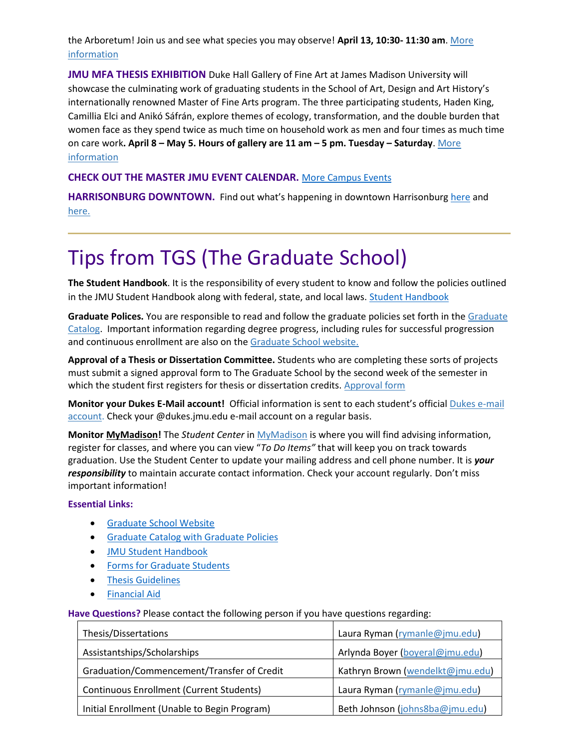the Arboretum! Join us and see what species you may observe! **April 13, 10:30- 11:30 am**. [More](https://www.jmu.edu/arboretum/events/general-events.shtml)  [information](https://www.jmu.edu/arboretum/events/general-events.shtml)

**JMU MFA THESIS EXHIBITION** Duke Hall Gallery of Fine Art at James Madison University will showcase the culminating work of graduating students in the School of Art, Design and Art History's internationally renowned Master of Fine Arts program. The three participating students, Haden King, Camillia Elci and Anikó Sáfrán, explore themes of ecology, transformation, and the double burden that women face as they spend twice as much time on household work as men and four times as much time on care work**. April 8 – May 5. Hours of gallery are 11 am – 5 pm. Tuesday – Saturday**. [More](https://www.jmu.edu/news/artandarthistory/2022/03-29-mfa22.shtml)  [information](https://www.jmu.edu/news/artandarthistory/2022/03-29-mfa22.shtml)

### **CHECK OUT THE MASTER JMU EVENT CALENDAR.** [More Campus Events](https://ems.jmu.edu/MasterCalendar/MasterCalendar.aspx?_ga=2.261279492.802742690.1601384782-920476218.1518451077)

**HARRISONBURG DOWNTOWN.** Find out what's happening in downtown Harrisonburg [here](https://mailchi.mp/harrisonburgva/downtown-insider?e=1f4d635f6f) and [here.](https://www.visitharrisonburgva.com/calendar-of-events/)

## Tips from TGS (The Graduate School)

**The Student Handbook**. It is the responsibility of every student to know and follow the policies outlined in the JMU Student Handbook along with federal, state, and local laws[. Student Handbook](https://www.jmu.edu/osarp/handbook/index.shtml)

**Graduate Polices.** You are responsible to read and follow the graduate policies set forth in the [Graduate](http://jmu.edu/catalog)  [Catalog.](http://jmu.edu/catalog) Important information regarding degree progress, including rules for successful progression and continuous enrollment are also on the [Graduate School website.](https://www.jmu.edu/grad/current-students/degree-progress/index.shtml)

**Approval of a Thesis or Dissertation Committee.** Students who are completing these sorts of projects must submit a signed approval form to The Graduate School by the second week of the semester in which the student first registers for thesis or dissertation credits. [Approval form](https://www.jmu.edu/grad/_files/CommitteeApprovalForm2017-18.pdf)

**Monitor your Dukes E-Mail account!** Official information is sent to each student's official [Dukes e-mail](http://www.jmu.edu/computing/helpdesk/selfhelp/DukesEmail.shtml)  [account.](http://www.jmu.edu/computing/helpdesk/selfhelp/DukesEmail.shtml) Check your @dukes.jmu.edu e-mail account on a regular basis.

**Monitor [MyMadison!](http://mymadison.jmu.edu/)** The *Student Center* in [MyMadison](http://mymadison.jmu.edu/) is where you will find advising information, register for classes, and where you can view "*To Do Items"* that will keep you on track towards graduation. Use the Student Center to update your mailing address and cell phone number. It is *your responsibility* to maintain accurate contact information. Check your account regularly. Don't miss important information!

#### **Essential Links:**

- [Graduate School Website](http://www.jmu.edu/grad)
- [Graduate Catalog with Graduate Policies](http://www.jmu.edu/catalog/index.shtml)
- [JMU Student Handbook](https://www.jmu.edu/osarp/handbook/index.shtml)
- [Forms for Graduate Students](http://www.jmu.edu/grad/current-students/graduate-forms.shtml)
- [Thesis Guidelines](http://www.jmu.edu/grad/current-students/thesis-dissertation/information.shtml)
- [Financial](http://www.jmu.edu/finaid/sap.shtml) Aid

**Have Questions?** Please contact the following person if you have questions regarding:

| Thesis/Dissertations                            | Laura Ryman (rymanle@jmu.edu)    |
|-------------------------------------------------|----------------------------------|
| Assistantships/Scholarships                     | Arlynda Boyer (boyeral@jmu.edu)  |
| Graduation/Commencement/Transfer of Credit      | Kathryn Brown (wendelkt@jmu.edu) |
| <b>Continuous Enrollment (Current Students)</b> | Laura Ryman (rymanle@jmu.edu)    |
| Initial Enrollment (Unable to Begin Program)    | Beth Johnson (johns8ba@jmu.edu)  |